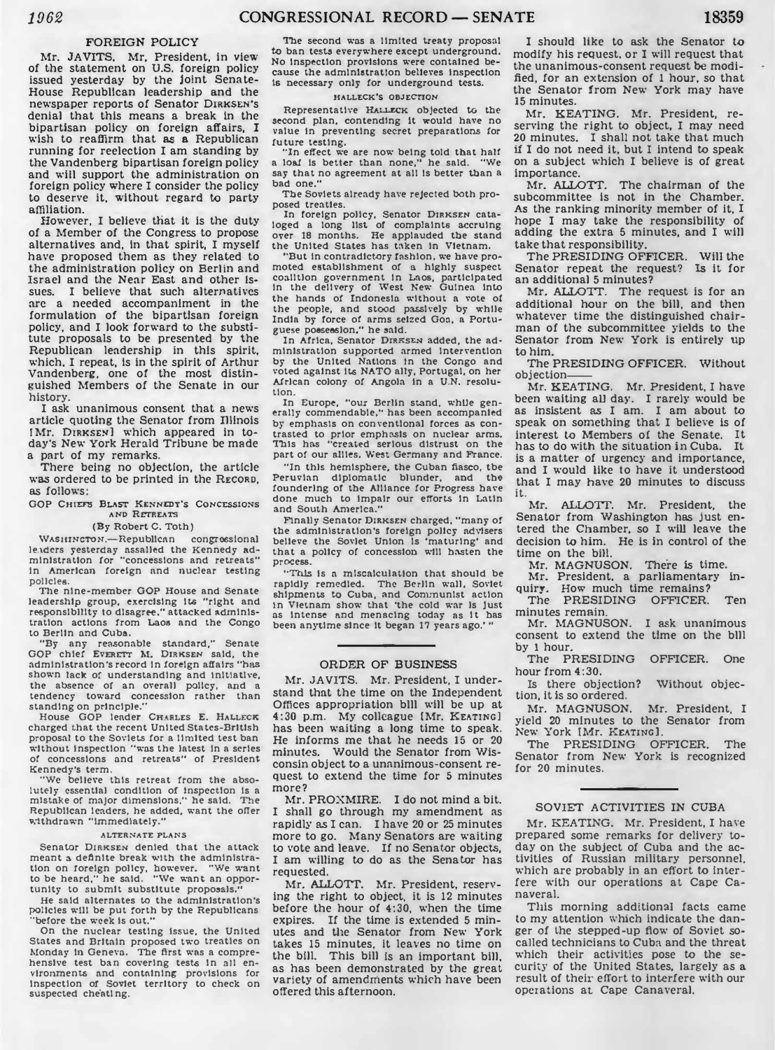# FOREIGN POLICY

Mr. JA VITS. Mr. President, in view of the statement on U.S. foreign policy issued yesterday by the joint Senate-House Republtcan leadership and the newspaper reports of Senator DIRKSEN's denial that this means a break ln the bipartisan policy on foreign affairs, I wish to reaffirm that as a Republican running for reelection I am standing by the Vandenberg bipartisan foreign policy and will support the administration on foreign policy where I consider the policy to deserve it, without regard to party affiliation.

However, I believe that it is the duty of a Member of the Congress to propose alternatives and, in that spirit, I myself have proposed them as they related to the administration policy on Berlin and Israel and the Near East and other Issues. I believe that such alternatives arc a needed accompaniment in the formulation o! the bipartisan foreign policy, and I look forward to the substitute proposals to be presented by the Republican leadership in this spirit, which. I repeat, is in the spirit of Arthur Vandenberg, one of the most distinguished Members of the Senate in our history.

I ask unanimous consent that a news article quoting the Senator from Illinois IMr. DIRKSEN] which appeared in today's New York Herald Tribune be made a part of my remarks.

There being no objection, the article was ordered to be printed in the RECORD, as follows:

#### GOP CHIEFS BLAST KENNEDY'S CONCESSIONS AND RETREATS

(By Robert c. Toth)

WASHINCTON.-Republican congrossional le:\ders yesterday nssalled the Kennedy administration !or "concessions and retreats" In American foreign and nuclear testing pollclee.

The nine-member OOP House and Senate leadership group, exercising Its "right and responsibility to disagree." attacked administration actions from Laos and the Congo to Berlin and Cuba.

"By any reasonable standard," Senate GOP chief Everety M. DIRKSEN said, the administration's record In torelgn affairs "has shown lack of understanding and initiative, the absence or an overall pollcy. and n tendency toward concession rather than standing on principle."

House GOP lender CHARLES E. HALLECK charged that the recent United States-British proposal to the Soviets for a limited test ban without Inspection "was the latest In a series or concessions and retreats" of President Kennedy's term.

"We believe this retreat from the absolutely essential condition of inspection is a mistake of major dimensions," he said. The Republican leaders, he added, want the offer withdrawn "immediately."

#### ALTERNATE PLANS

Senator DIRKSEN denied that the attack meant a definite break with the administration on foreign policy. however. "We want to be heard," he said. "We want an opportunity to submit substitute proposals."

He said alternates to the administration's policies will be put forth by the Republicans 'before the week is out."

On the nuclear testing issue, the United States and Britain proposed two treaties on Monday in Geneva. The first was a comprehensive test ban covering tests in all environments nnd containing provisions tor Inspection or Soviet territory to check on suspected cheating.

The second was a limited treaty proposal to ban tests everywhere except underground. No Inspection provisions were contained because the admlnhstratlon believes Inspection is necessary only for underground tests.

### HALLECK'S OBJECTION

Representative HALLECK objected to the second plan, contending it would have no value in preventing secret preparations for future testing.

"In effect we are now being told that halt a loaf is better than none," he said. "We say that no agreement at all Is better than a bad one."

The Soviets already have rejected both proposed treaties.

In foreign policy, Senator DIRKSEN cataloged a long list of complaints accruing over 18 months. He applauded the stand the United States has taken in Vietnam.

"But In contradictory fashion, we have promoted establishment of n highly suspect coalition government in Laos, participated In the delivery of \Vest New Guinea Into the hands o! Indonesia without a vote of the people, and stood passively by while India by force ot arms seized Gon, a Portu· guese possession," he said.

In Africa, Senator DIRKSEN added, the administration supported armed intervention by the United Nations In the COngo and voted against Its NATO ally, Portugal, on her African colony of Angola in a U.N. resolution.

In Europe, "our Berlin stand, while generally commendable.'' has been accompanied by emphasis on conventional forces as contrasted to prior emphasis on nuclear arms. This has "created serious distrust on the part of our allies. West Germany and France.

"In thls hemisphere. the Cuban fiasco. tbe Peruvian diplomatic blunder, and tbe foundering of the Alliance for Progress have done much to Impair our efforts In Latin and South America."

Finally Senator DIRKSEN charged, "many of the administration's foreign policy advisers believe the Soviet Union is 'maturing' and that a policy of concession will hasten the process.

"This is a miscalculation that should be rapidly remedled. The Berlin wall, Soviet. shipments to Cuba, and Conununlst action in Vietnam show that 'the cold war is just as intense and menacing today as it has been anytime since It began 17 years ago.' "

#### ORDER OF BUSINESS

Mr. JAVITS. Mr. President, I understand that the time on the Independent Offices appropriation blll will be up at 4:30 p.m. My colleague [Mr. KEATING] has been waiting a long time to speak. He informs me that he needs 15 or 20 minutes. Would the Senator from Wisconsin object to a unanimous-consent request to extend the time for 5 minutes more?

Mr. PROXMIRE. I do not mind a bit. I shall go through my amendment as rapidly as I can. I have 20 or 25 minutes more to go. Many Senators are waiting to vote and leave. If no Senator objects, I am willing to do as the Senator has requested.

Mr. ALLOTT. Mr. President, reserving the right to object, it is 12 minutes before the hour of 4:30, when the time expires. If the time is extended 5 minutes and the Senator from New York takes 15 minutes. it leaves no time on the bill. This bill is an important bill, as has been demonstrated by the great variety of amendments which have been offered this afternoon.

I should like to ask the Senator to modify his reQuest. or I will reQucst that the unanimous-consent request be modified, for an extension of 1 hour, so that the Senator from New York may have 15 minutes.

Mr. KEATING. Mr. President, reserving the right to object, I may need 20 minutes. I shall not take that much if I do not need it, but I intend to speak on a subject which I believe is of great importance.

Mr. ALLOTT. The chairman of the subcommittee is not in the Chamber. As the ranking minority member of it, I hope I may take the responsibility of adding the extra 5 minutes, and I will take that responsibility.

The PRESIDING OFFICER. Will the Senator repeat the request? Is it for an additional 5 minutes?

Mr. ALLOTT. The request is for an additional hour on the bill, and then whatever time the distinguished chairman of the subcommittee yields to the Senator from New York is entirely up to him.

The PRESIDING OFFICER. Without objection

Mr. KEATING. Mr. President, I have been waiting all day. I rarely would be as insistent as I am. I am about to speak on something that I believe is of interest to Members of the Senate. It has to do with the situation in Cuba. It is a matter of urgency and importance, and I would like to have it understood that I may have 20 minutes to discuss it.

Mr. ALLOTT. Mr. President, the Senator from Washington has just entered the Chamber. so I will leave the decision to him. He is in control of the time on the bill.

Mr. MAGNUSON. There is time.

Mr. President. a parliamentary inquiry. How much time remains?

The PRESIDING OFFICER. Ten minutes remain.

Mr. MAGNUSON. I ask unanimous consent to extend the time on the blll by 1 hour.

The PRESIDING OFFICER. One hour from 4:30.

Is there objection? Without objection, it is so ordered.

Mr. MAGNUSON. Mr. President, I yield 20 minutes to the Senator from New York [Mr. KEATING].

The PRESIDING OFFICER. The Senator from New York is recognized for 20 minutes.

#### SOVIET ACTIVITIES IN CUBA

Mr. KEATING. Mr. President, I have prepared some remarks for delivery today on the subject of Cuba and the activities of Russian military personnel. which are probably in an effort to interfere with our operations at Cape Canaveral.

This mornjng additional facts came to my attention which indicate the danger of the stepped-up fiow of Soviet soca1led technicians to Cuba and the threat which their activities pose to the security of the United States. largely as a result of their effort to interfere with our operations at Cape Canaveral.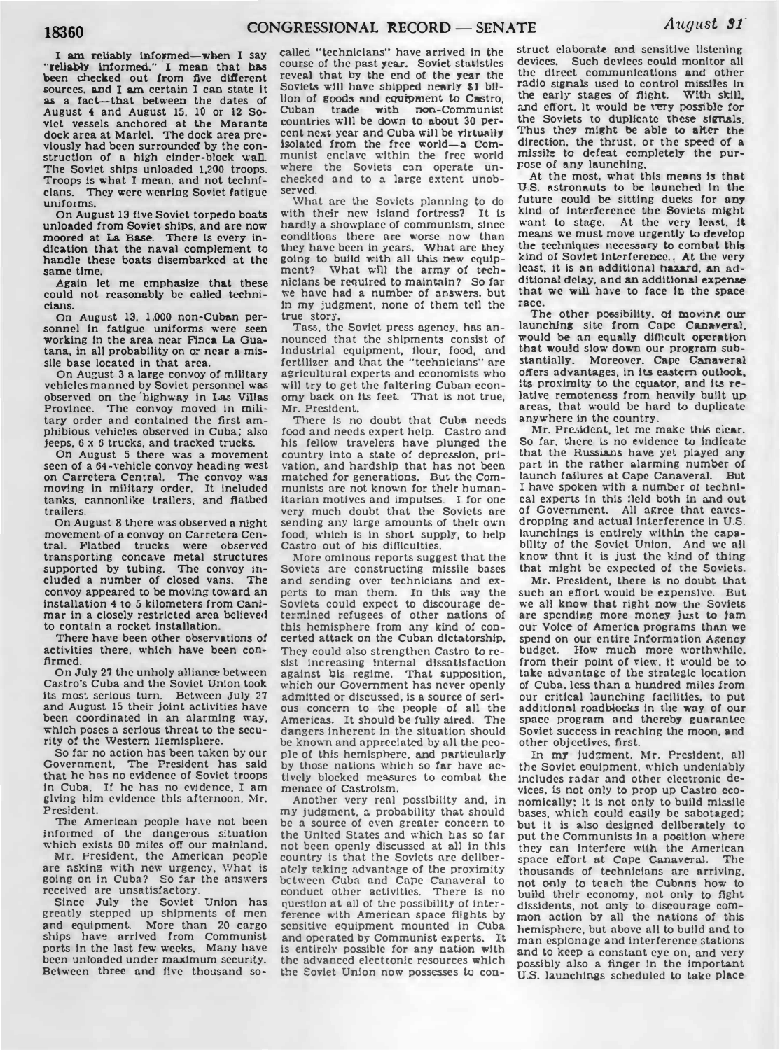I am reliably informed-when I say "reliably informed." I mean that has been checked out from five different sources. and I am certain I can state it as a fact--that between the dates of August 4 and August 15, 10 or 12 Soviet vessels anchored at the Marante dock area at Mariel. The dock area previously had been surrounded by the construction of a high cinder-block wall. The Soviet ships unloaded 1,200 troops. Troops is what I mean, and not techniclans. They were wearing Soviet fatigue uniforms.

On August 13 five Soviet torpedo boats unloaded from Soviet ships, and are now moored at La Base. There is every indication that the naval complement to handle these boats disembarked at the same time.

Again let me emphasize that these could not reasonably be called technicians.

On August 13, 1,000 non-Cuban personnel in fatigue uniforms were seen working in the area near Finca La Guatana. in all probability on or near a missile base located in that area.

On August 3 a large convoy of military vehicles manned by Soviet personnel was observed on the 'highway in Las Villas Province. The convoy moved in military order and contained the first amphibious vehicles observed in Cuba; also Jeeps, 6 x 6 trucks, and tracked trucks.

On August 5 there was a movement seen of a 64-vehicle convoy heading west on Carretera Central. The convoy was moving in military order. It included tanks, cannonlike trailers, and flatbed trailers.

On August 8 there was observed a night movement of a convoy on Carretera Central. Flatbed trucks were observed transporting concave metal structures supported by tubing. The convoy included a number of closed vans. The convoy appeared to be moving toward an installation 4 to 5 kilometers from Canimar in a closely restricted area believed to contain a rocket installation.

There have been other observations of activities there, which have been confirmed.

On July 27 the unholy alliance between Castro's Cuba and the Soviet Union took its most serious turn. Between July 27 and August 15 their Joint activities have been coordinated in an alarming way, which poses a serious threat to the security of the Western Hemispliere.

So far no action has been taken by our Government. The President has said that he has no evidence of Soviet troops in Cuba. If he has no evidence, I am glving him evidence this afternoon. Mr. President.

The American people have not been !nformed of the dangerous situation which exists 90 miles off our mainland.

Mr. President, the American people are asking with new urgency, What is going on in Cuba? So far the answers received are unsatisfactory.

Since July the Soviet Union has greatly stepped up shipments of men and equipment. More than 20 cargo ships have arrived from communist ports in the last few weeks. Many have been unloaded under maximum security. Between three and five thousand so-

called "technicians" have arrived in the course of the past year. Soviet statistics reveal that by the end of the year the Soviets will have shipped nearly \$1 billion of goods and equipment to Castro, Cuban trade with non-Communist countries will be down to about 30 percent next year and Cuba will be virtually isolated from the free world-a Communist enclave within the free world where the Soviets can operate unchecked and to a large extent unobserved.

What are the Soviets planning to do with their new island fortress? It is hardly a showplace of communism. since conditions there are worse now than they have been in years. What are they going to build with all this new equipment? What will the army of technicians be required to maintain? So far we have had a number of answers, but in my judgment, none or them tell the true story.

Tass, the Soviet press agency, has announced that the shipments consist of industrial equipment, flour, food, and fertilizer and that the "technicians" are agricultural experts and economists who will try to get the faltering Cuban economy back on its feet. That is not true, Mr. President.

There is no doubt that Cuba needs food and needs expert help. Castro and his fellow travelers have plunged the country into a state of depression. privation, and hardship that has not been matched for generations. But the Communists are not known for thelr humanitarian motives and impulses. I for one very much doubt that the Soviets are sending any large amounts of their own food, which is in short supply, to help Castro out of his difficulties.

More ominous reports suggest that the Soviets arc constructing missile bases and sending over technicians and experts to man them. In this way the Soviets could expect to d1scourage determined refugees of other nations of this hemisphere from any kind of concerted attack on the Cuban dictatorship. They could also strengthen Castro to resist increasing Internal dlssntlsfnction against bis regime. That supposition, which our Government has never openly admitted or discussed, is a source of serious concern to the people of all the Americas. It should be fully aired. The dangers inherent in the situation should be known and appreciated by all the people of this hemisphere, and particularly by those nations which so far have actively blocked measures to combat the menace of Castrolsm.

Another very rcnl possibility and, in my judgment, a probability that should be a source of even greater concern to the United States and which has so far not been openly discussed at all in this country is thnt the Soviets nre dellberntely taking ndvantage of the proximity between Cuba and Cape Canaveral to conduct other activities. There is no question at all of the possibility of interference with American space flights by sensitive equipment mounted in CUba and operated by Communist experts. It. is entirely possible for any nation with the advanced electronic resources which the Soviet Union now possesses to con-

struct elaborate and sensitive listening devices. Such devices could monitor all the direct communications and other radio signals used to control missiles In the early stages of flight. With skill. and effort. It would be very possible for the Soviets to duplicate these signals. Thus they might be able to alter the direction, the thrust, or the speed of a missile to defeat completely the purpose of any launching.

At the most. what this menns Is that U.S. astronauts to be leunched in the future could be sitting ducks for any kind of interference the Soviets might want to stage. At the very least, it means we must move urgently to develop the techniques n<sup>e</sup>cessary to combat this kind of Soviet interference., At the very least, it is an additional hazard, an additional delay, and an additional expense that we will have to face in the space race.

The other possibility. of moving our launching site from Cape Canaveral. would be an equally difficult operation that would slow down our program substantially. Moreover. Cape Canaveral offers advantages, in its eastern outlook. its proximity to the equator, and its relative remoteness from henvily built up areas. that would be hard to duplicate anywhere in the country.

Mr. President, let me make this clear. So far, there is no evidence to indicate that the Russians have yet played any part in the rather alarming number of launch failures at Cape Canaveral. But I have spoken with a number of technical experts in this field both in and out of Government. All agree thnt envcsdropping and actual interference in U.S. lnunchlngs is entirely within the capabillty of the Soviet Union. And we all know thnt it is just the kind of thing that might be expected of the Sovicls.

Mr. President, there is no doubt that such an effort would be expensive. But we all know that right now the Soviets are spending more money just to jam our Voice of America programs than we spend on our entire Information Agency budget. How much more worthwhile, from their point of view, it would be to take advantage of the strategic location of Cuba, less than a hundred miles from our critical launching facilities. to put additional roadbiocks in the way of our space program and thereby guarantee Soviet success in reaching the mooo, and other obj cctives. first.

In my judgment, Mr. President, nll the Soviet equipment, which undeniably includes radar and other electronic devices. is not only to prop up Castro economically; lt is not only to build missile bases, which could easily be sabotaged: but it is also designed deliberately to put the Communists in a position where they can interfere with the American space effort at Cape Canaveral. The thousands of technicians are arriving, not only to teach the Cubans how to build their economy, not only to fight dissidents, not only to discourage common action by all the nations of this hemisphere. but above all to build and to man espionage and interference 5tations and to keep a constant eye on, and very possibly also a finger in the important U.S. launchings scheduled to take place